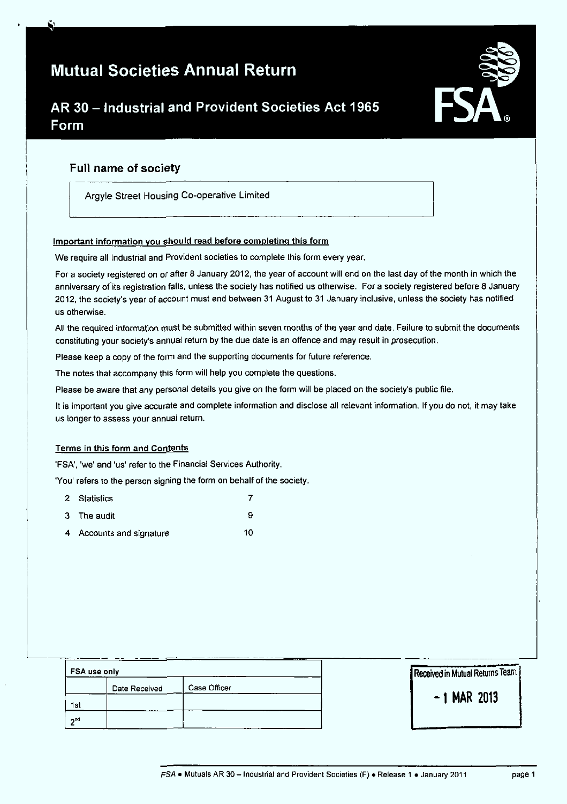# Mutual Societies Annual Return



# AR 30 - Industrial and Provident Societies Act 1965 Form

# Full name of society

Argyle Street Housing Co-operative Limited

# Important information you should read before completing this form

We require all Industrial and Provident societies to complete this form every year.

For a society registered on or after 8 January 2012, the year of account will end on the last day of the month in which the anniversary of its registration falls, unless the society has notified us otherwise. For a society registered before 8 January 2012. the society's year of account must end between 31 August to 31 January inclusive, unless the society has notified us otherwise.

All the required information must be submitted within seven months of the year end date. Failure to submit the documents constituting your society's annual return by the due date is an offence and may result in prosecution.

Please keep a copy of the form and the supporting documents for future reference.

The notes that accompany this form will help you complete the questions.

Please be aware that any personal details you give on the form will be placed on the society's public file.

It is important you give accurate and complete information and disclose all relevant information. If you do not, it may take us longer to assess your annual return.

# Terms in this form and Contents

'FSA'. 'we' and 'us' refer to the Financial Services Authority.

'You' refers to the person signing the form on behalf of the society.

| 2 Statistics             |    |
|--------------------------|----|
| 3 The audit              | о  |
| 4 Accounts and signature | 10 |

| FSA use only |               |              |  |
|--------------|---------------|--------------|--|
|              | Date Received | Case Officer |  |
| 1st          |               |              |  |
| <b>And</b>   |               |              |  |

Received in Mutual Returns Team

- 1 MAR 2013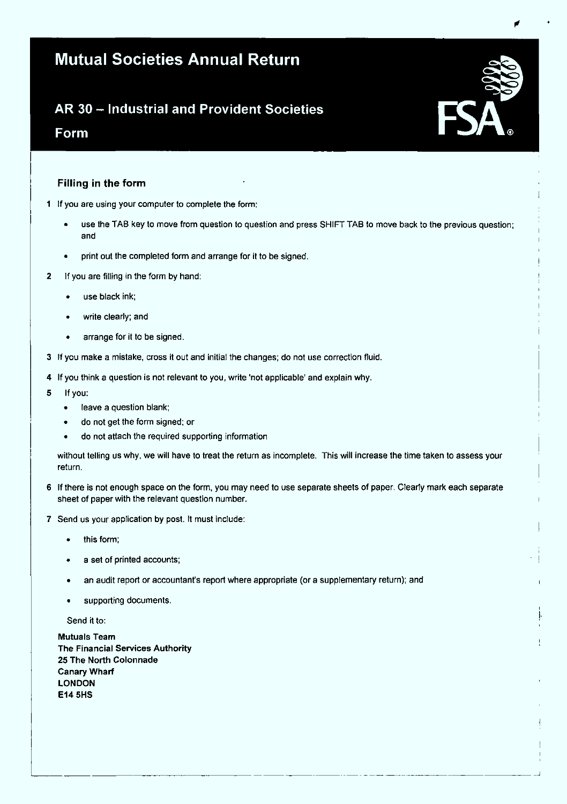# Mutual Societies Annual Return

# AR 30 - Industrial and Provident Societies

# Form

# Filling in the form

- 1 If you are using your computer to complete the form:
	- use the TAB key to move from question to question and press SHIFT TAB to move back to the previous question; and
	- print out the completed form and arrange for it to be signed.
- 2 If you are filling in the form by hand:
	- use black ink;
	- write clearly; and
	- arrange for it to be signed.
- 3 If you make a mistake, cross it out and initial the changes; do not use correction fluid.
- 4 If you think a question is not relevant to you, write 'not applicable' and explain why.
- 5 If you:
	- leave a question blank;
	- do not get the form signed; or
	- do not attach the required supporting information

without telling us why, we will have to treat the return as incomplete. This will increase the time taken to assess your return.

- 6 If there is not enough space on the form, you may need to use separate sheets of paper, Clearly mark each separate sheet of paper with the relevant question number.
- 7 Send us your application by post. It must include:
	- this form;
	- a set of printed accounts;
	- an audit report or accountant's report where appropriate (or a supplementary return); and
	- supporting documents.

Send it to:

Mutuals Team The Financial Services Authority 25 The North Colonnade Canary Wharf LONDON E14 5HS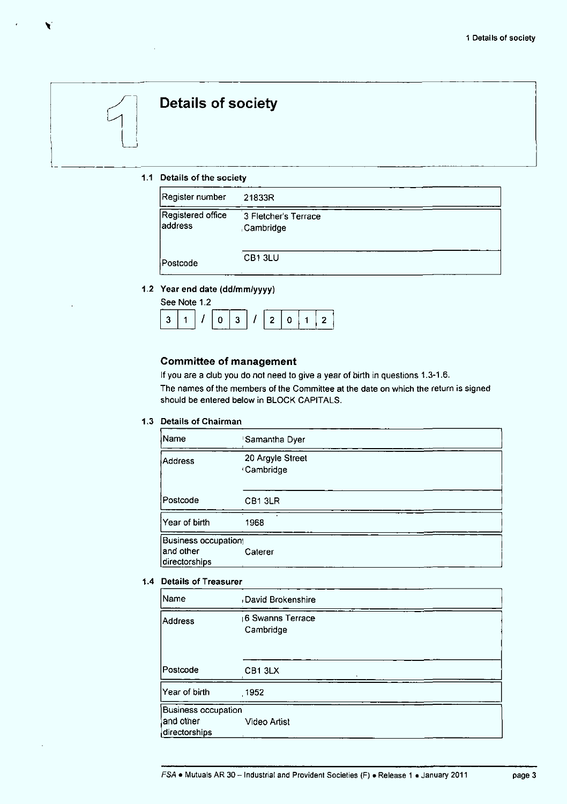# **Details of society**

## 1.1 Details of the society

| Register number              | 21833R                             |  |
|------------------------------|------------------------------------|--|
| Registered office<br>address | 3 Fletcher's Terrace<br>,Cambridge |  |
| Postcode                     | CB13LU                             |  |

# 1.2 Year end date {dd/mm/yyyy)

| See Note 1.2 |  |  |  |  |  |  |  |               |  |
|--------------|--|--|--|--|--|--|--|---------------|--|
|              |  |  |  |  |  |  |  | 311/03/120112 |  |

# Committee of management

If you are a club you do not need to give a year of birth in questions 1.3-1.6. The names of the members of the Committee at the date on which the return is signed should be entered below in BLOCK CAPITALS.

## 1.3 Details of Chairman

| Name                                              | Samantha Dyer                        |  |
|---------------------------------------------------|--------------------------------------|--|
| Address                                           | 20 Argyle Street<br><b>Cambridge</b> |  |
| Postcode                                          | CB <sub>1</sub> 3LR                  |  |
| Year of birth                                     | 1968                                 |  |
| Business occupation<br>and other<br>directorships | Caterer                              |  |

## 1.4 Details of Treasurer

| Name                                                     | David Brokenshire             |  |
|----------------------------------------------------------|-------------------------------|--|
| Address                                                  | 6 Swanns Terrace<br>Cambridge |  |
| Postcode                                                 | CB1 3LX                       |  |
| Year of birth                                            | .1952                         |  |
| <b>Business occupation</b><br>and other<br>directorships | <b>Video Artist</b>           |  |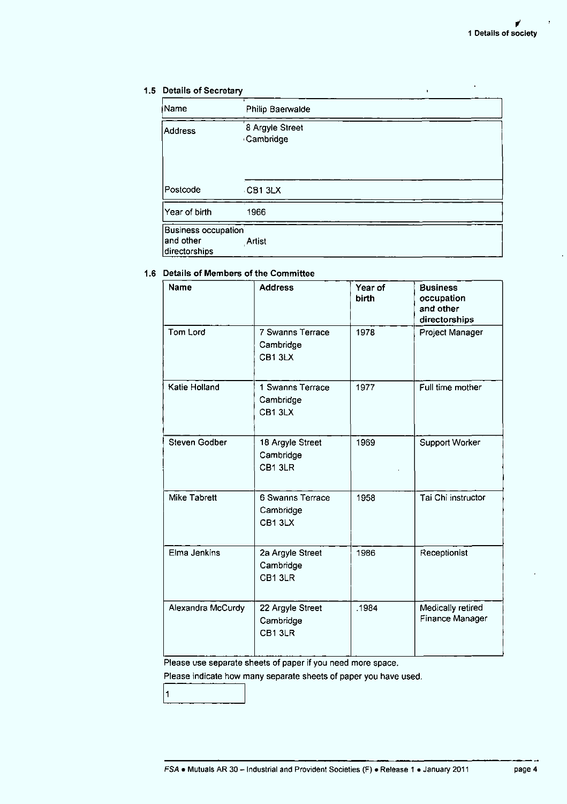# 1.5 Details of Secretary

| ∤Name                                             | Philip Baerwalde             |  |
|---------------------------------------------------|------------------------------|--|
| Address                                           | 8 Argyle Street<br>Cambridge |  |
| Postcode                                          | CB13LX                       |  |
| Year of birth                                     | 1966                         |  |
| Business occupation<br>and other<br>directorships | Artist                       |  |

# 1.6 Details of Members of the Committee

| <b>Name</b>          | <b>Address</b>                          | Year of<br>birth | <b>Business</b><br>occupation<br>and other<br>directorships |
|----------------------|-----------------------------------------|------------------|-------------------------------------------------------------|
| Tom Lord             | 7 Swanns Terrace<br>Cambridge<br>CB13LX | 1978             | Project Manager                                             |
| Katie Holland        | 1 Swanns Terrace<br>Cambridge<br>CB13LX | 1977             | Full time mother                                            |
| <b>Steven Godber</b> | 18 Argyle Street<br>Cambridge<br>CB13LR | 1969             | <b>Support Worker</b>                                       |
| <b>Mike Tabrett</b>  | 6 Swanns Terrace<br>Cambridge<br>CB13LX | 1958             | Tai Chi instructor                                          |
| Elma Jenkins         | 2a Argyle Street<br>Cambridge<br>CB13LR | 1986             | Receptionist                                                |
| Alexandra McCurdy    | 22 Argyle Street<br>Cambridge<br>CB13LR | .1984            | Medically retired<br>Finance Manager                        |

Please use separate sheets of paper if you need more space.

Please indicate how many separate sheets of paper you have used.

 $\vert$ 1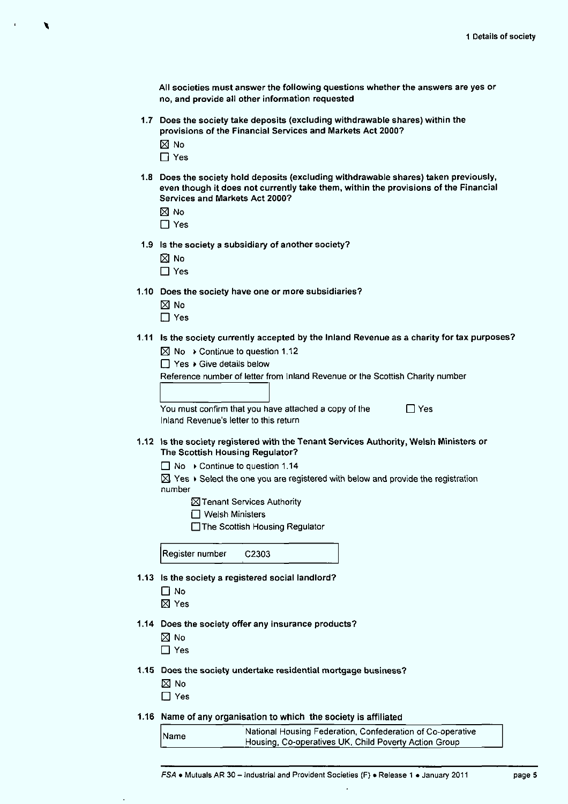All societies must answer the following questions whether the answers are yes or no, and provide all other information requested

- 1.7 Does the society take deposits (excluding withdrawable shares) within the provisions of the Financial Services and Markets Act 2000?
	- $\boxtimes$  No
	- □ Yes
- 1.8 Does the society hold deposits (excluding withdrawable shares) taken previously, even though it does not currently take them, within the provisions of the Financial Services and Markets Act 2000?
	- El No
	- $\Box$  Yes
- 1.9 Is the society a subsidiary of another society?
	- El No
	- $\Box$  Yes
- 1.10 Does the society have one or more subsidiaries?
	- $\boxtimes$  No
	- $\Box$  Yes
- 1.11 Is the society currently accepted by the Inland Revenue as a charity for tax purposes?
	- $\boxtimes$  No  $\rightarrow$  Continue to question 1.12
	- $\Box$  Yes  $\rightarrow$  Give details below

Reference number of letter from Inland Revenue or the Scottish Charity number

You must confirm that you have attached a copy of the  $\Box$  Yes Inland Revenue's letter to this return

- 1.12 Is the society registered with the Tenant Services Authority, Welsh Ministers or The Scottish Housing Regulator?
	- $\Box$  No  $\rightarrow$  Continue to question 1.14
	- $\boxtimes$  Yes  $\blacktriangleright$  Select the one you are registered with below and provide the registration number
		- **X** Tenant Services Authority
		- $\Box$  Welsh Ministers
		- □The Scottish Housing Regulator

Register number C2303

- 1.13 Is the society a registered social landlord?
	- $\Box$  No
	- El Yes
- 1.14 Does the society offer any insurance products?
	- El No
	- □ Yes
- 1.15 Does the society undertake residential mortgage business?
	- El No
	- $\Box$  Yes
- 1.16 Name of any organisation to which the society is affiliated

| <b>Name</b> | National Housing Federation, Confederation of Co-operative |
|-------------|------------------------------------------------------------|
|             | Housing, Co-operatives UK, Child Poverty Action Group      |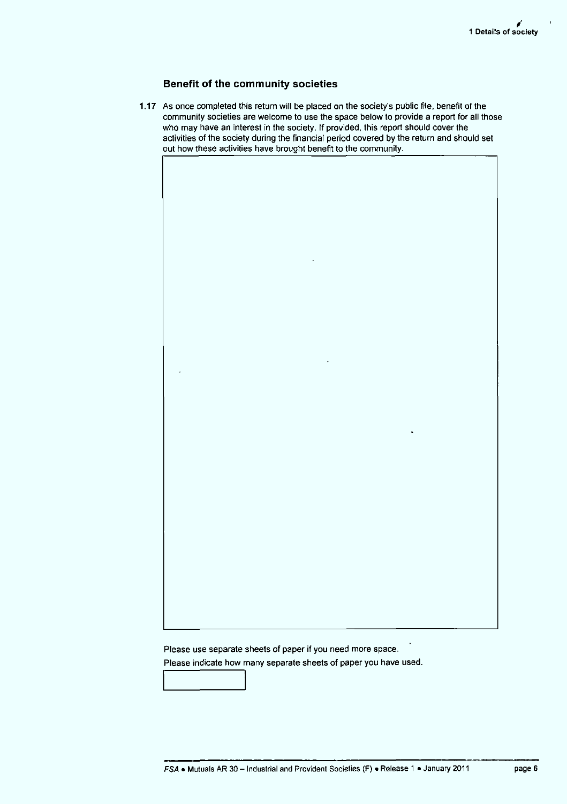# Benefit of the community societies

1.17 As once completed this return will be placed on the society's public file, benefit of the community societies are welcome to use the space below to provide a report for all those who may have an interest in the society. If provided, this report should cover the activities of the society during the financial period covered by the return and should set out how these activities have brought benefit to the community.

Please use separate sheets of paper if you need more space.

Please indicate how many separate sheets of paper you have used.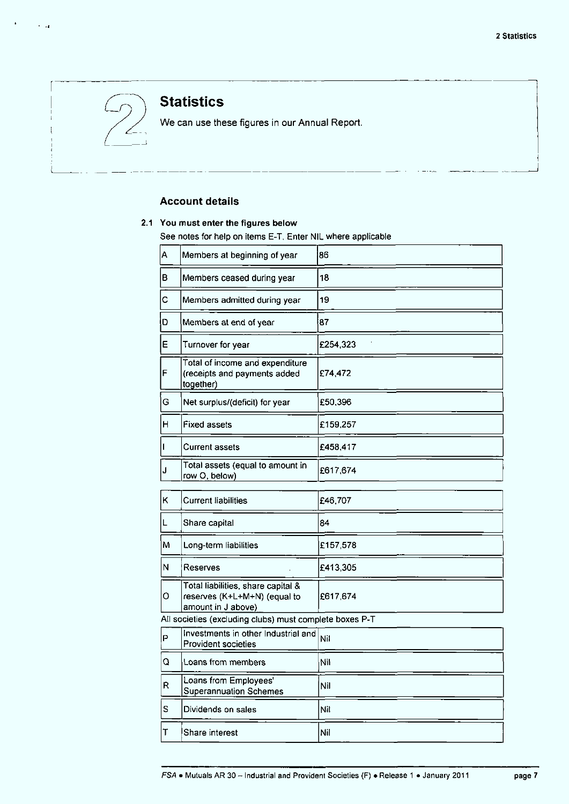

 $\sim$   $\sim$ 

# **Statistics**

We can use these figures in our Annual Report.

# Account details

# 2.1 You must enter the figures below

See notes for help on items E-T, Enter NIL where applicable

| Α | Members at beginning of year                                                             | 86       |
|---|------------------------------------------------------------------------------------------|----------|
| в | Members ceased during year                                                               | 18       |
| С | Members admitted during year                                                             | 19       |
| D | Members at end of year                                                                   | 87       |
| Е | Turnover for year                                                                        | £254,323 |
| F | Total of income and expenditure<br>(receipts and payments added<br>together)             | £74,472  |
| G | Net surplus/(deficit) for year                                                           | £50,396  |
| н | <b>Fixed assets</b>                                                                      | £159,257 |
| I | <b>Current assets</b>                                                                    | £458,417 |
| J | Total assets (equal to amount in<br>row O, below)                                        | £617,674 |
| Κ | <b>Current liabilities</b>                                                               | £46,707  |
| L | Share capital                                                                            | 84       |
| М | Long-term liabilities                                                                    | £157,578 |
| N | Reserves                                                                                 | £413,305 |
| О | Total liabilities, share capital &<br>reserves (K+L+M+N) (equal to<br>amount in J above) | £617.674 |
|   | All societies (excluding clubs) must complete boxes P-T                                  |          |
| P | Investments in other Industrial and<br>Provident societies                               | Nil      |
| Q | Loans from members                                                                       | Nil      |
| R | Loans from Employees'<br><b>Superannuation Schemes</b>                                   | Nil      |
| S | Dividends on sales                                                                       | Nil      |
| Т | Share interest                                                                           | Nil      |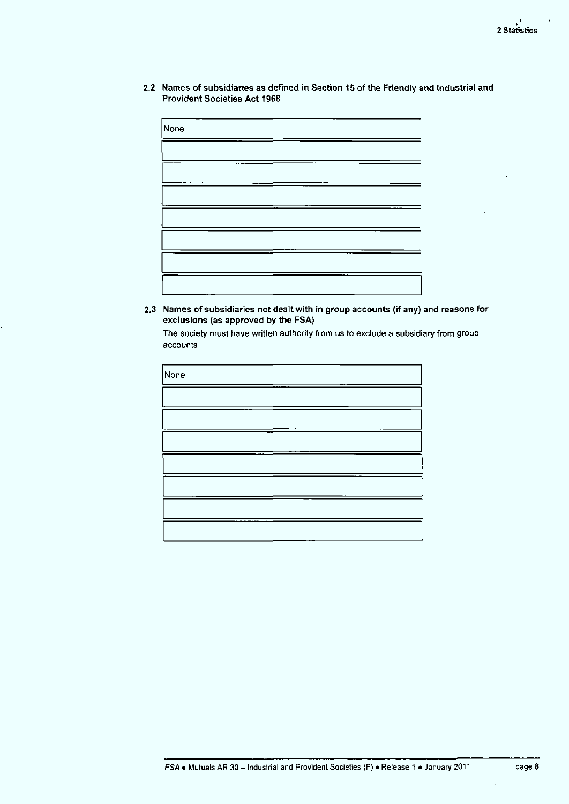2.2 Names of subsidiaries as defined in Section 15 of the Friendly and Industrial and Provident Societies Act 1968

| None |  |  |
|------|--|--|
|      |  |  |
|      |  |  |
|      |  |  |
|      |  |  |
|      |  |  |
|      |  |  |
|      |  |  |

2.3 Names of subsidiaries not dealt with in group accounts (if any) and reasons for exclusions (as approved by the FSA)

The society must have written authority from us to exclude a subsidiary from group accounts

| None |  |
|------|--|
|      |  |
|      |  |
|      |  |
|      |  |
|      |  |
|      |  |
|      |  |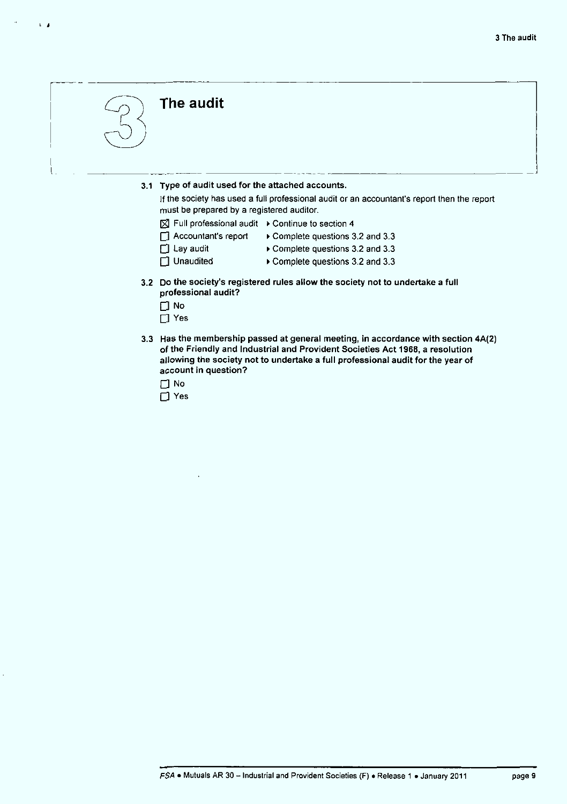

 $t - t$ 

# The audit

3.1 Type of audit used for the attached accounts.

If the society has used a full professional audit or an accountant's report then the report must be prepared by a registered auditor.

- $\boxtimes$  Full professional audit  $\rightarrow$  Continue to section 4
- $\Box$  Accountant's report  $\rightarrow$  Complete questions 3.2 and 3.3
- 
- $\Box$  Lay audit Complete questions 3.2 and 3.3
- 
- Unaudited Complete questions 3.2 and 3.3
- 3.2 Do the society's registered rules allow the society not to undertake a full professional audit?
	- $\Box$  No
	- $\Box$  Yes
- 3.3 Has the membership passed at general meeting, in accordance with section 4A{2) of the Friendly and Industrial and Provident Societies Act 1968, a resolution allowing the society not to undertake a full professional audit for the year of account in question?
	- $\Box$  No
	- D Yes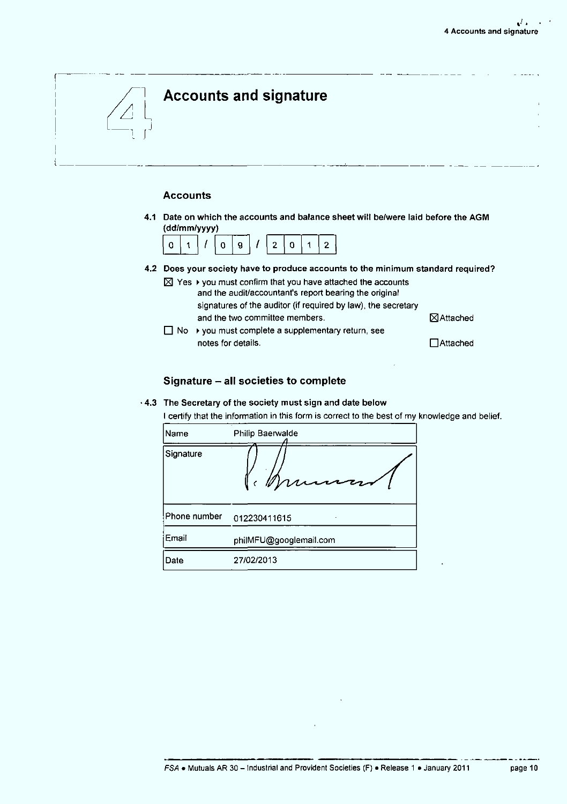

# Accounts

4.1 Date on which the accounts and balance sheet will be/were laid before the AGM (dd/mm/yyyy)



- 4.2 Does your society have to produce accounts to the minimum standard required?
	- $\boxtimes$  Yes  $\blacktriangleright$  you must confirm that you have attached the accounts and the audit/accountant's report bearing the original signatures of the auditor (if required by law), the secretary and the two committee members.  $\boxtimes$  Attached
	- $\Box$  No  $\rightarrow$  you must complete a supplementary return, see notes for details. ◯ △ QAttached

## Signature - all societies to complete

- 4.3 The Secretary of the society must sign and date below
- I certify that the information in this form is correct to the best of my knowledge and belief.

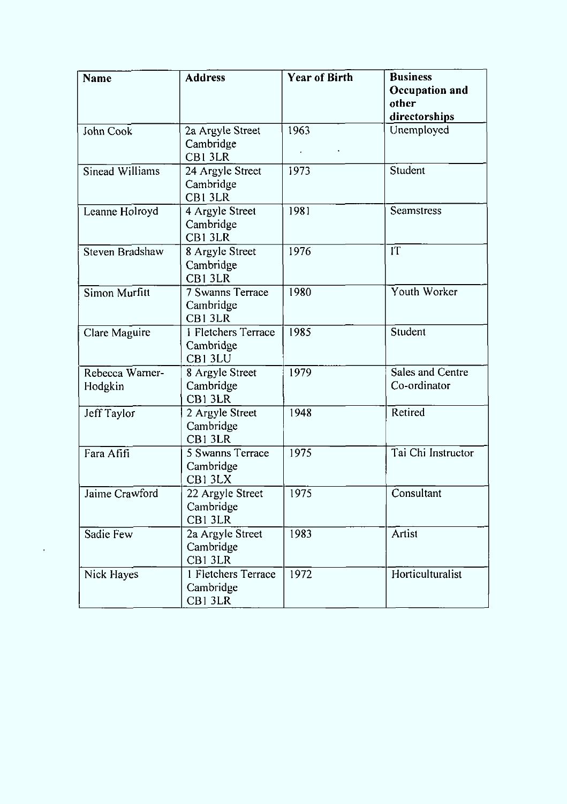| <b>Name</b>                | <b>Address</b>                                 | <b>Year of Birth</b> | <b>Business</b><br>Occupation and<br>other<br>directorships |
|----------------------------|------------------------------------------------|----------------------|-------------------------------------------------------------|
| John Cook                  | 2a Argyle Street<br>Cambridge<br>CB13LR        | 1963<br>$\mathbf{r}$ | Unemployed                                                  |
| Sinead Williams            | 24 Argyle Street<br>Cambridge<br>CB1 3LR       | 1973                 | Student                                                     |
| Leanne Holroyd             | 4 Argyle Street<br>Cambridge<br>CB13LR         | 1981                 | Seamstress                                                  |
| Steven Bradshaw            | 8 Argyle Street<br>Cambridge<br>CB1 3LR        | 1976                 | IT                                                          |
| Simon Murfitt              | <b>7 Swanns Terrace</b><br>Cambridge<br>CB13LR | 1980                 | Youth Worker                                                |
| Clare Maguire              | 1 Fletchers Terrace<br>Cambridge<br>CB13LU     | 1985                 | Student                                                     |
| Rebecca Warner-<br>Hodgkin | 8 Argyle Street<br>Cambridge<br>CB13LR         | 1979                 | Sales and Centre<br>Co-ordinator                            |
| Jeff Taylor                | 2 Argyle Street<br>Cambridge<br>CB1 3LR        | 1948                 | Retired                                                     |
| Fara Afifi                 | 5 Swanns Terrace<br>Cambridge<br>CB13LX        | 1975                 | Tai Chi Instructor                                          |
| Jaime Crawford             | 22 Argyle Street<br>Cambridge<br>CB1 3LR       | 1975                 | Consultant                                                  |
| Sadie Few                  | 2a Argyle Street<br>Cambridge<br>CB1 3LR       | 1983                 | Artist                                                      |
| Nick Hayes                 | 1 Fletchers Terrace<br>Cambridge<br>CB13LR     | 1972                 | Horticulturalist                                            |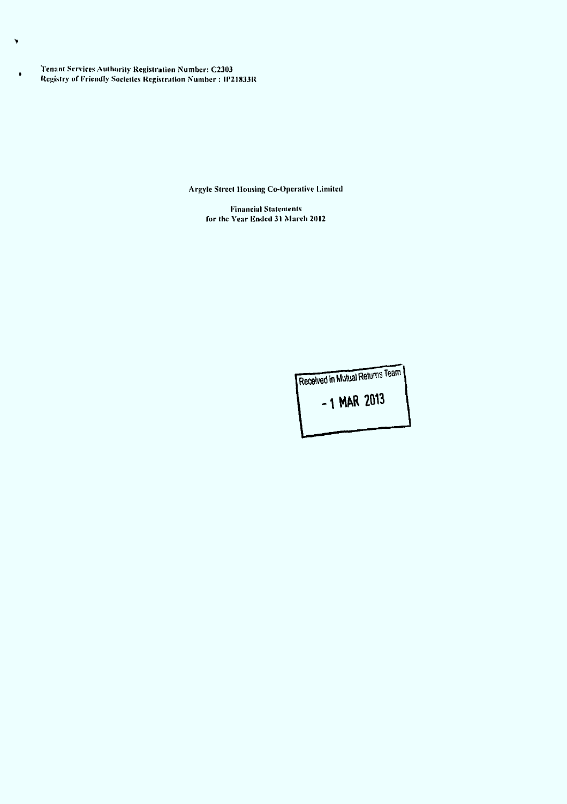Tenant Services Authority Registration Number: C2303 Registry of Friendly Societies Registration Number : IP21833R

×

 $\bullet$ 

Argyle Street Mousing Co-Operative Limited

Financial Statements for (he Year Ended 31 March 2012

> Received in Mutual Returns Team  $-1$  MAR 2013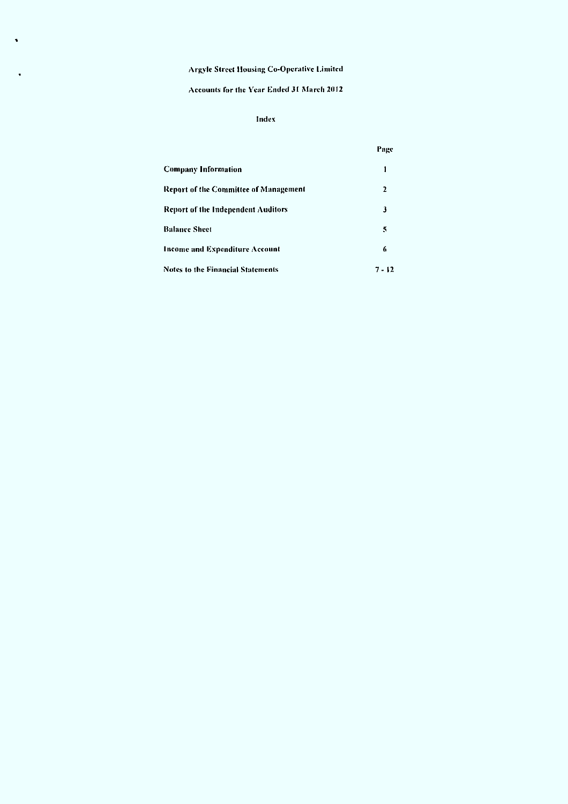l,

# Accounts for the Year Ended 31 March 2012

# Index

|                                          | Page     |
|------------------------------------------|----------|
| <b>Company Information</b>               |          |
| Report of the Committee of Management    | 2        |
| Report of the Independent Auditors       | 3        |
| <b>Balance Sheet</b>                     | 5        |
| <b>Income and Expenditure Account</b>    | 6        |
| <b>Notes to the Financial Statements</b> | $7 - 12$ |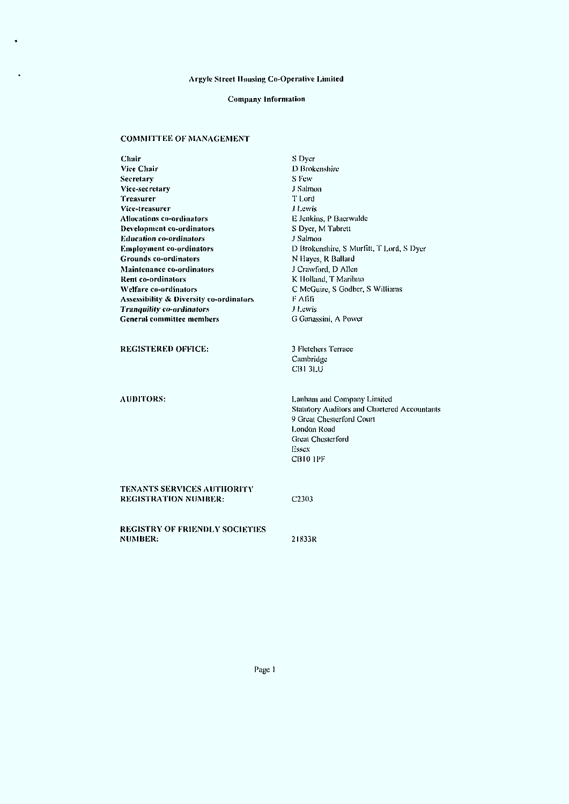# Company Information

# COMMITTEE OF MANAGEMENT

 $\ddot{\phantom{a}}$ 

| Chair                                                            | S Dyer                                                                                                                                                                                |
|------------------------------------------------------------------|---------------------------------------------------------------------------------------------------------------------------------------------------------------------------------------|
| Vice Chair                                                       | D Brokenshire                                                                                                                                                                         |
| <b>Secretary</b>                                                 | S Few                                                                                                                                                                                 |
| Vice-secretary                                                   | J Salmon                                                                                                                                                                              |
| Treasurer                                                        | T Lord                                                                                                                                                                                |
| Vice-treasurer                                                   | J Lewis                                                                                                                                                                               |
| Allocations co-ordinators                                        | E Jenkins, P Baerwalde                                                                                                                                                                |
| Development co-ordinators                                        | S Dyer, M Tabrett                                                                                                                                                                     |
| <b>Education co-ordinators</b>                                   | J Salmon                                                                                                                                                                              |
| <b>Employment co-ordinators</b>                                  | D Brokenshire, S Murfitt, T Lord, S Dyer                                                                                                                                              |
| <b>Grounds co-ordinators</b>                                     | N Hayes, R Ballard                                                                                                                                                                    |
| <b>Maintenance co-ordinators</b>                                 | J Crawford, D Allen                                                                                                                                                                   |
| Rent co-ordinators                                               | K Holland, T Marihno                                                                                                                                                                  |
| Welfare co-ordinators                                            | C McGuire, S Godber, S Williams                                                                                                                                                       |
| <b>Assessibility &amp; Diversity co-ordinators</b>               | F Afifi                                                                                                                                                                               |
| <b>Tranquility co-ordinators</b>                                 | <b>J</b> Lewis                                                                                                                                                                        |
| <b>General committee members</b>                                 | G Ganassini, A Power                                                                                                                                                                  |
| <b>REGISTERED OFFICE:</b>                                        | 3 Fletchers Terrace<br>Cambridge<br><b>CB1 3LU</b>                                                                                                                                    |
| <b>AUDITORS:</b>                                                 | Lanham and Company Limited<br><b>Statutory Auditors and Chartered Accountants</b><br>9 Great Chesterford Court<br>London Road<br><b>Great Chesterford</b><br>Essex<br><b>CB10 1PF</b> |
| <b>TENANTS SERVICES AUTHORITY</b><br><b>REGISTRATION NUMBER:</b> | C <sub>2303</sub>                                                                                                                                                                     |
| <b>REGISTRY OF FRIENDLY SOCIETIES</b><br><b>NUMBER:</b>          | 21833R                                                                                                                                                                                |

Page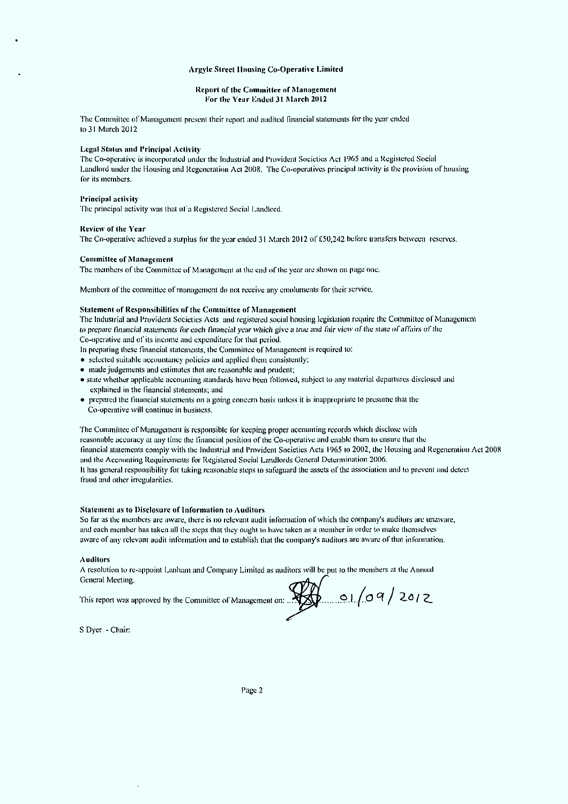#### Report of the Committee of Management For the Year Ended 31 March 2012

The Committee of Management present their report and audited financial statements lor the year ended lo31 March 2012

#### Legal Slalus and Principal Activity

The Co-operative is incorporated under the Industrial and Provident Societies Act 1965 and a Registered Social Landlord under the Housing and Regeneration Act 2008. The Co-operatives principal activity is the provision of housing lor its members.

#### Principal activity

The principal activity was that of a Registered Social Landlord.

#### Review of the Year

The Co-operative achieved a surplus for the year ended 31 March 2012 of £50.242 before transfers between reserves,

#### Committee of Management

The members of the Committee of Management at the end of the year arc shown on page one.

Members of the committee of management do not receive any emoluments for their service.

### Statement of Responsibilities of the Committee of Management

The Industrial and Provident Societies Acts and registered social housing legislation require the Committee of Management to prepare financial statements for each financial year which give a true and fair view of the state of affairs of the Co-operative and of its income and expenditure for that period.

- In preparing these financial statements, the Committee of Management is required to:
- selected suitable accountancy policies and applied them consistently;
- made judgements and estimates that are reasonable and prudent;
- state whether applicable accounting standards have been followed, subject to any material departures disclosed and explained in the Financial statements; and
- prepared the financial statements on a going concern basis unless it is inappropriate to presume thai the Co-operative will continue in business.

The Committee of Management is responsible for keeping proper accounting records which disclose with reasonable accuracy al any time the financial position of the Co-operative and enable ihem lo ensure that the financial statements comply with the Industrial and Provident Societies Acts 1965 lo 2002. the Housing and Regeneration Act 2008 and Ihe Accounting Requirements for Registered Social Landlords General Determination 2006, It has general responsibility for taking reasonable steps to safeguard the assets of the association and to prevent and detect fraud and other irregularities.

## Statement as to Disclosure of Information lo Auditors

So far as ihe members are aware, there is no relevant audit information of which the company's auditors are unaware, and each member has laken all Ihe steps thai they ought to have taken as a member in order lo make themselves aware of any relevant audit information and lo establish that the company's auditors are aware of that information.

#### Auditors

A resolution to re-appoint Lanham and Company Limited as auditors will be put to the members at the Annual

This report was approved by the Committee of Management on: ..

General Meeting, ,-r\/ri\* . / "

S Dyer - Chair: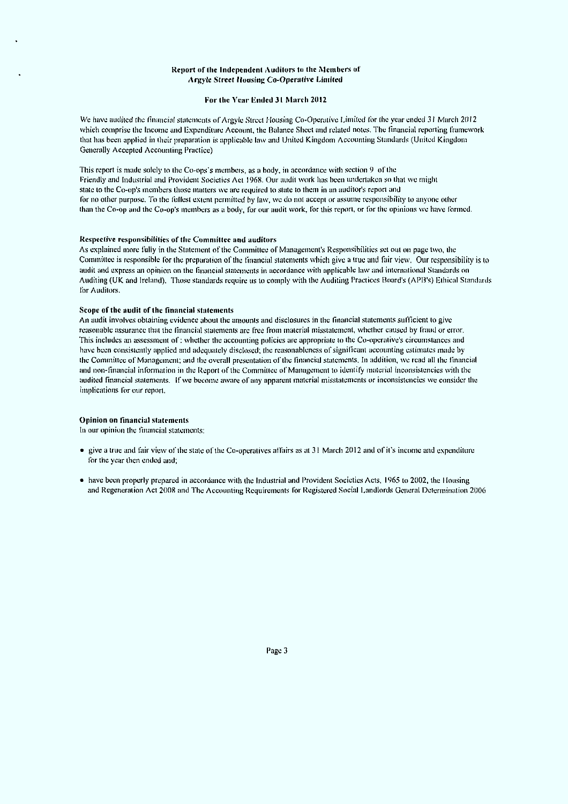#### Report of the Independent Auditors to the Members of Argyle Street Housing Co-Operative Limited

#### For Ihe Year Ended 31 March 2012

We have audited the financial statements of Argyle Street Housing Co-Operative Limited for the year ended 31 March 2012 which comprise the Income and (Expenditure Account, the Balance Sheet and related notes. The financial reporting framework that has been applied in iheir preparation is applicable law and United Kingdom Accounting Standards (United Kingdom Generally Accepted Accounting Practice)

This report is made solely to the Co-ops's members, as a body, in accordance with section  $9\text{ of the}$ Friendly and Industrial and Provident Societies Act 1968, Our audit work has been undertaken so iliai we might state to the Co-op's members those maiters we are required to state to them in an auditor's report and for no other purpose. To the fullest extent permitted by law, we do not accept or assume responsibility to anyone other than ihe Co-op and the Co-op's members as a body, for our audit work, for this reporl, or for the opinions we have formed.

#### Respective responsibilities of the Committee and auditors

As explained more fully in the Statement of the Committee of Management's Responsibilities set out on page two, ihe Committee is responsible for the preparation of the financial statements which give a true and fair view. Our responsibility is to audit and express an opinion on the financial statements in accordance with applicable law and international Standards on Auditing (UK and Ireland). Those standards require us to comply with the Auditing Practices Board's (APB's) Ethical Standards for Auditors.

#### Scope of the audit of the financial statements

An audit involves obtaining evidence aboul ihe amounts and disclosures in the financial statements sufficient lo give reasonable assurance thai the financial statements are free from material misstatement, whether caused by fraud or error. This includes an assessment of : whether the accounting policies are appropriate to the Co-operative's circumstances and have been consistently applied and adequately disclosed: the reasonableness of significant accounting estimates made by the Committee of Management; and Ihe overall presentation of ihe financial statements. In addition, we read all ihe financial and non-financial information in the Reporl of the Committee of Management to identify material inconsistencies with Ihe audited financial statements. If we become aware of any apparent material misstatements or inconsistencies we consider the implications for our reporl.

#### Opinion on financial statements

In our opinion Ihe financial statements:

- give a true and fair view of the stale of Ihe Co-operalives affairs as at 31 March 2012 and of it's income and expenditure for the year then ended and;
- have been properly prepared in accordance with Ihe Industrial and Provident Societies Acts. 1965 to 2002. the I lousing and Regeneration Act 2008 and The Accounting Requirements for Registered Social Landlords General Determination 2006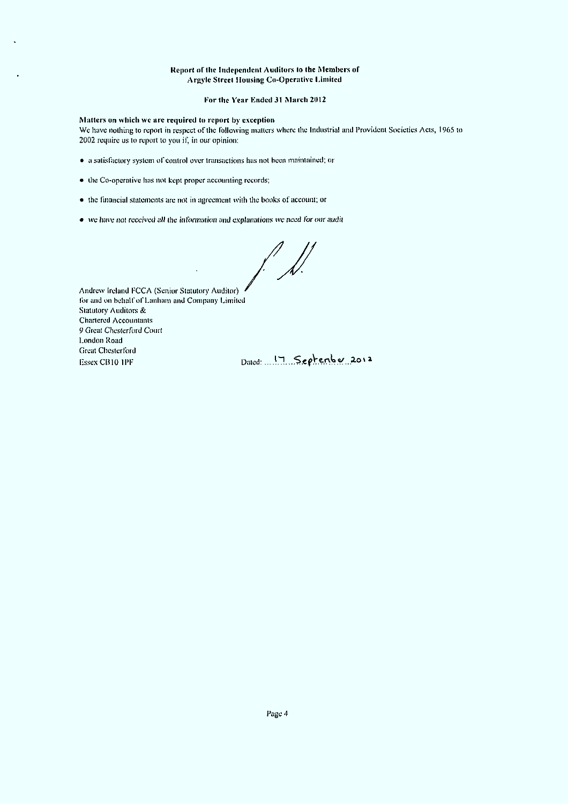## Report of the Independent Auditors to the Members of Argyle Street Housing Co-Operative Limited

## For Hie Year Ended 31 March 2012

# Matters on which we are required to report by exception

We have nothing to reporl in respect of the following mailers where ihe Industrial and Provident Societies Acts, 1965 to 2002 require us to report to you if, in our opinion:

- a satisfactory system of control over transactions has not been maintained; or
- ihe Co-operative has not kept proper accounting records;
- ihe financial statements are not in agreement with the books of account; or
- $\bullet\,$  we have not received all the information and explanations we need for our audit

 $\sqrt{\frac{1}{2}}$ 

Andrew Ireland FCCA (Senior Statutory Auditor) for and on behalf of Lanham and Company Limited Statutory Auditors & Chartered Accountants 9 Great Chesterford Court London Road Greal Chesterford  $E$ ssex CB10 IPF Dated: ... J. September 2012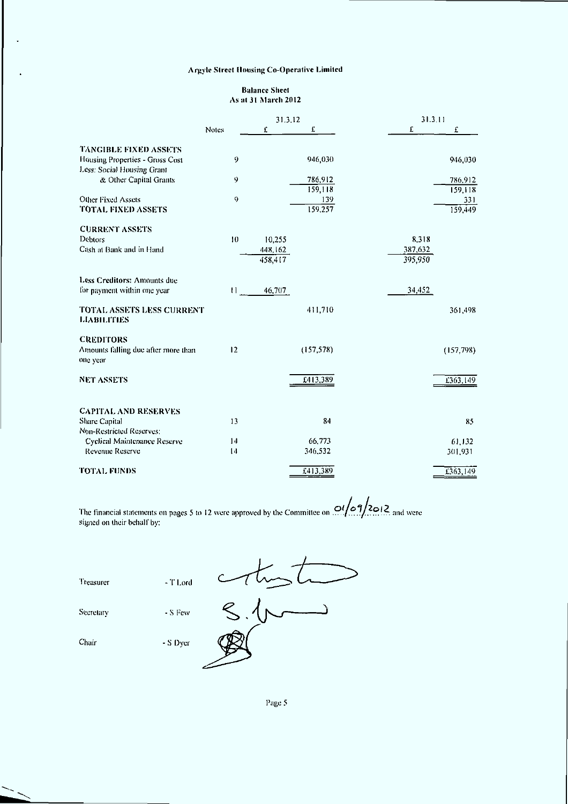l.

## Balance Sheet As at 31 March 2012  $\overline{a}$

|                                                               |              | 31.3.12            |                    | 31.311             |  |
|---------------------------------------------------------------|--------------|--------------------|--------------------|--------------------|--|
|                                                               | <b>Notes</b> | £                  | £                  | £<br>£             |  |
| <b>TANGIBLE FIXED ASSETS</b>                                  |              |                    |                    |                    |  |
| Housing Properties - Gross Cost<br>Less: Social Housing Grant | 9            |                    | 946,030            | 946,030            |  |
| & Other Capital Grants                                        | 9            |                    | 786 912<br>159 118 | 786,912<br>159,118 |  |
| Other Fixed Assets                                            | 9            |                    | 139                | 331                |  |
| <b>TOTAL FIXED ASSETS</b>                                     |              |                    | 159,257            | 159,449            |  |
| <b>CURRENT ASSETS</b>                                         |              |                    |                    |                    |  |
| Debtors                                                       | 10           | 10,255             |                    | 8.318              |  |
| Cash at Bank and in Hand                                      |              | 448,162<br>458,417 |                    | 387,632<br>395,950 |  |
| Less Creditors: Amounts due                                   |              |                    |                    |                    |  |
| for payment within one year                                   | $11 -$       | 46,707             |                    | 34,452             |  |
| TOTAL ASSETS LESS CURRENT<br><b>LIABILITIES</b>               |              |                    | 411,710            | 361.498            |  |
| <b>CREDITORS</b>                                              |              |                    |                    |                    |  |
| Amounts falling due after more than<br>one year               | 12           |                    | (157, 578)         | (157, 798)         |  |
| <b>NET ASSETS</b>                                             |              |                    | E413,389           | £363,149           |  |
| <b>CAPITAL AND RESERVES</b>                                   |              |                    |                    |                    |  |
| Share Capital                                                 | 13           |                    | 84                 | 85                 |  |
| Non-Restricted Reserves:                                      |              |                    |                    |                    |  |
| Cyclical Maintenance Reserve                                  | 14           |                    | 66,773             | 61,132             |  |
| Revenue Reserve                                               | 14           |                    | 346,532            | 301,931            |  |
| <b>TOTAL FUNDS</b>                                            |              |                    | £413,389           | £363,149           |  |

The financial statements on pages 5 to 12 were approved by the Committee on  $\mathbb{Z}[T, T]$ . The and were signed on their behalf by: <u>01/09/2012 a</u>

| Treasurer | - T Lord |  |
|-----------|----------|--|
| Secretary | - S Few  |  |
| Chair     | - S Dyer |  |
|           |          |  |

Page 5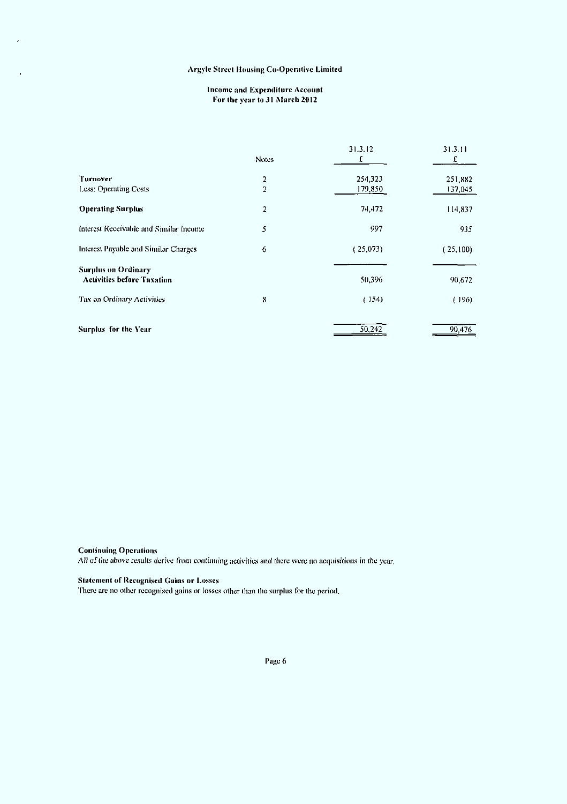## Income and Expenditure Account For Ihe vear to 31 March 2012

|                                        | <b>Notes</b>   | 31.3.12<br>£ | 31.3.11  |
|----------------------------------------|----------------|--------------|----------|
| Turnover                               | $\overline{c}$ | 254,323      | 251,882  |
| Less: Operating Costs                  | 2              | 179,850      | 137,045  |
| <b>Operating Surplus</b>               | 2              | 74,472       | 114,837  |
| Interest Receivable and Similar Income | 5              | 997          | 935      |
| Interest Payable and Similar Charges   | 6              | (25,073)     | (25,100) |
| <b>Surplus on Ordinary</b>             |                |              |          |
| <b>Activities before Taxation</b>      |                | 50,396       | 90,672   |
| Tax on Ordinary Activities             | 8              | (154)        | (196)    |
| Surplus for the Year                   |                | 50,242       | 90,476   |

# Continuing Operations

All of Ihe above results derive from continuing activities and there were no acquisitions in Ihe year,

# Statement of Recognised Gains or Losses

There are no other recognised gains or losses other than the surplus for Ihe period.

Page 6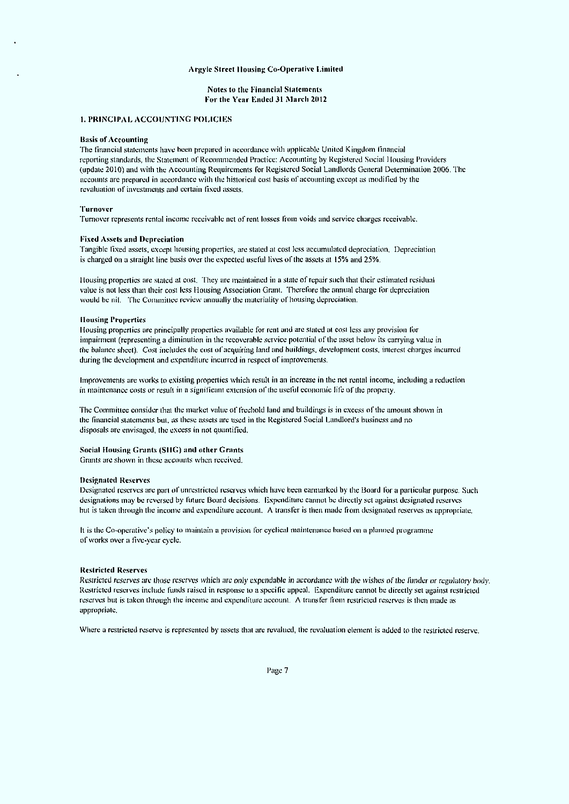#### Notes to Ihe Financial Statements For the Year Ended 31 March 2012

#### 1. PRINCIPAL ACCOUNTING POLICIES

#### Basis of Accounting

'flic financial statements have been prepared in accordance wiih applicable Uniled Kingdom financial reporting standards, llie Statement of Recommended Practice: Accounting by Regislered Social Mousing Providers (update 2010) and with ihe Accounting Requirements for Regislered Social Landlords General Determination 2006. The accounts are prepared in accordance with Ihe historical cost basis of accounting except as modified by ihe revaluation of investments and certain fixed assets.

#### 'Turnover

Turnover represents rental income receivable net of rent losses from voids and service charges receivable.

#### Fixed Assets and Depreciation

Tangible fixed assets, except housing properties, are slated at cost less accumulated depreciation, Depreciation is charged on a straight line basis over the expected useful lives of the assets at 15% and 25%,

1 lousing properties are stated at cost. They are maintained in a slate of repair such that their estimated residual value is not less than their cost less Housing Association Grant. Therefore the annual charge for depreciation would be nil. The Committee review annually the materiality of housing depreciation.

#### **Housing Properties**

I lousing properties are principally properties available for rent and are slated al cosl less any provision for impairment (representing a diminution in ihe recoverable service potential of the asset below its carrying value in (lie balance sheet). Cosl includes (he eosi ol'acquiring land and buildings, development costs, interest charges incurred during the development and expenditure incurred in respect of improvements.

Improvements are works lo existing properties which result in an increase in the net rental income, including a reduction in maintenance cosls or result in a significant extension ol'lhe useful economic life of the properly.

The Committee consider that the market value of freehold land and buildings is in excess of the amount shown in ihe financial sialemenis but, as these assels are used in the Regislered Social Landlord's business and no disposals are envisaged, ihe excess in not quantified.

### Social Mousing Grants (SIlG) and oilier Grants

Grams are shown in these accounts when received.

#### Designated Reserves

Designated reserves are part of unrestricted reserves which have been earmarked by ihe Board for a particular purpose. Such designations may be reversed by future Board decisions. Expenditure cannot be directly sel against designated reserves hut is taken through the income and expenditure account. A transfer is then made from designated reserves as appropriate.

It is the Co-opuraiive's policy to maintain a provision for cyclical maintenance based on a planned programme of works over a five-year cycle.

#### Restricted Reserves

Restricted reserves are those reserves which are only expendable in accordance with the wishes of the funder or regulatory body. Reslricted reserves include funds raised in response to a specific appeal. Expenditure cannot be directly set against restricted reserves but is taken through the income and expenditure account. A transfer from restricted reserves is then made as appropriale.

Where a restricted reserve is represented by assels that are revalued, the revaluation clement is added to the restricted reserve.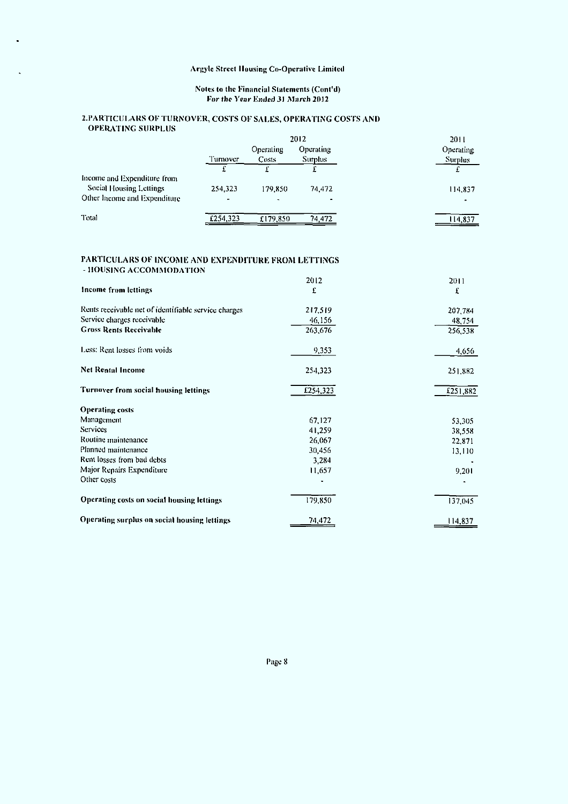## Notes to the Financial Statements (Cont'd) For the Year Ended 31 March 2012

## ^PARTICULARS OF TURNOVER, COSTS OF SALES. OPERATING COSTS AND OPERATING SURPLUS

|                                                         | 2012                      |                          |                             | 2011                        |
|---------------------------------------------------------|---------------------------|--------------------------|-----------------------------|-----------------------------|
|                                                         | Turnover                  | Operating<br>Costs       | Operating<br><b>Surplus</b> | Operating<br><b>Surplus</b> |
| Income and Expenditure from                             |                           |                          |                             |                             |
| Social Housing Lettings<br>Other Income and Expenditure | 254,323<br>$\blacksquare$ | 179,850<br>$\rightarrow$ | 74,472                      | 114,837                     |
| Total                                                   | £254.323                  | £179,850                 | 74.472                      | 14.837                      |

## PARTICULARS OF INCOME AND EXPENDITURE FROM LETTINGS - HOUSING ACCOMMODATION

|                                                      | 2012     | 2011     |
|------------------------------------------------------|----------|----------|
| Income from lettings                                 | £        | £        |
| Rents receivable net of identifiable service charges | 217,519  | 207,784  |
| Service charges receivable                           | 46,156   | 48,754   |
| <b>Gross Rents Receivable</b>                        | 263,676  | 256,538  |
| Less. Rent losses from voids                         | 9,353    | 4,656    |
| Net Rental Income                                    | 254,323  | 251,882  |
| Turnover from social housing lettings                | £254,323 | £251,882 |
| <b>Operating costs</b>                               |          |          |
| Management                                           | 67,127   | 53,305   |
| <b>Services</b>                                      | 41,259   | 38,558   |
| Routine maintenance                                  | 26,067   | 22,871   |
| Planned maintenance                                  | 30,456   | 13,110   |
| Rent losses from bad debts                           | 3,284    |          |
| Major Repairs Expenditure                            | 11,657   | 9,201    |
| Other costs                                          |          |          |
| Operating costs on social housing lettings           | 179,850  | 137,045  |
| Operating surplus on social housing lettings         | 74,472   | 114,837  |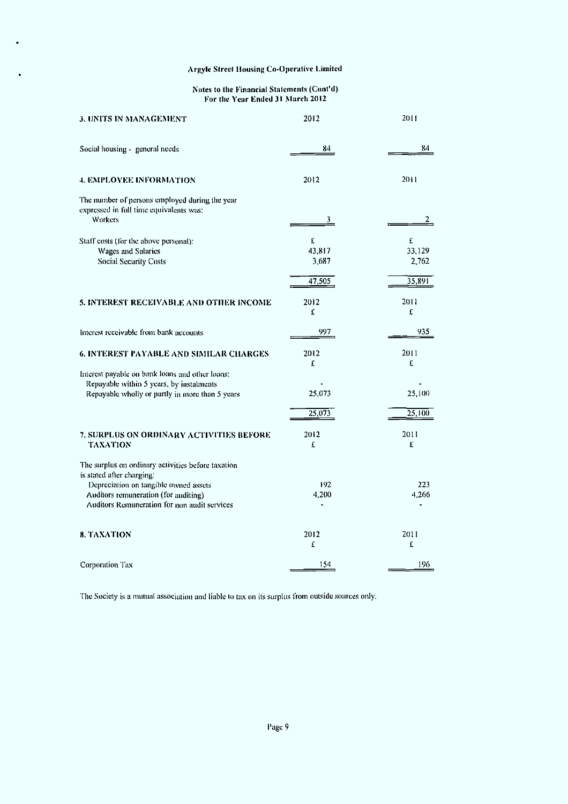$\hat{\textbf{r}}$ 

#### Notes to (he Financial Statements (Cont'd) For Ihe Year Ended 31 March 2012

| 3. UNITS IN MANAGEMENT                                                                                                                                                                                           | 2012                           | 2011                 |
|------------------------------------------------------------------------------------------------------------------------------------------------------------------------------------------------------------------|--------------------------------|----------------------|
| Social housing - general needs                                                                                                                                                                                   | 84                             | 84                   |
| 4. EMPLOYEE INFORMATION                                                                                                                                                                                          | 2012                           | 2011                 |
| The number of persons employed during the year<br>expressed in full time equivalents was:<br><b>Workers</b>                                                                                                      | 3.                             | 2                    |
| Staff costs (for the above personal):<br>Wages and Salaries<br><b>Social Security Costs</b>                                                                                                                      | $\mathbf f$<br>43,817<br>3,687 | £<br>33,129<br>2,762 |
|                                                                                                                                                                                                                  | 47,505                         | 35,891               |
| 5. INTEREST RECEIVABLE AND OTHER INCOME                                                                                                                                                                          | 2012<br>Ľ                      | 2011<br>£            |
| Interest receivable from bank accounts                                                                                                                                                                           | 997                            | 935                  |
| <b>6. INTEREST PAYABLE AND SIMILAR CHARGES</b>                                                                                                                                                                   | 2012<br>£                      | 2011<br>£            |
| Interest payable on bank loans and other loans:<br>Repayable within 5 years, by instalments<br>Repayable wholly or partly in more than 5 years                                                                   | 25,073                         | 25,100               |
|                                                                                                                                                                                                                  | 25,073                         | 25,100               |
| 7. SURPLUS ON ORDINARY ACTIVITIES BEFORE<br><b>TAXATION</b>                                                                                                                                                      | 2012<br>£                      | 2011<br>£            |
| The surplus on ordinary activities before taxation<br>is stated after charging:<br>Depreciation on tangible owned assets<br>Auditors remuneration (for auditing)<br>Auditors Remuneration for non audit services | 192<br>4,200                   | 223<br>4,266         |
| <b>8. TAXATION</b>                                                                                                                                                                                               | 2012<br>£                      | 2011<br>£            |
| Corporation Tax                                                                                                                                                                                                  | 154                            | 196                  |

The Society is a mutual association and liable lo tax on its surplus from outside sources only.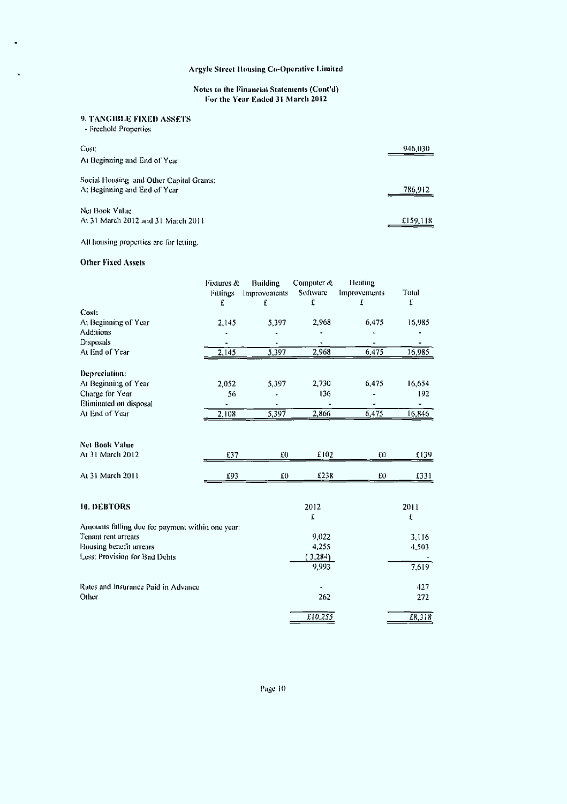### Notes to (he Financial Statements (Cont'd) For the Year Ended 31 March 2012

# 9. TANGIBLE FIXED ASSETS

- Freehold Properties

 $\ddot{\phantom{a}}$ 

| Cost.<br>At Beginning and End of Year                                    | 946,030  |
|--------------------------------------------------------------------------|----------|
| Social Housing and Other Capital Grants;<br>At Beginning and End of Year | 786.912  |
| Net Book Value<br>At 31 March 2012 and 31 March 2011                     | £159,118 |

# All housing properties are for letting.

## Other Fixed Assets

|                                                                         | Fixtures &<br>Fittings<br>£ | Building<br>Improvements<br>£ | Computer &<br>Software<br>£ | Heating<br>Improvements<br>Ľ | Total<br>£     |
|-------------------------------------------------------------------------|-----------------------------|-------------------------------|-----------------------------|------------------------------|----------------|
| Cost:                                                                   |                             |                               |                             |                              |                |
| At Beginning of Year                                                    | 2,145                       | 5,397                         | 2,968                       | 6,475                        | 16,985         |
| <b>Additions</b>                                                        |                             |                               |                             |                              |                |
| Disposals                                                               |                             |                               |                             |                              |                |
| At End of Year                                                          | 2,145                       | 5,397                         | 2,968                       | 6,475                        | 16,985         |
| Depreciation:                                                           |                             |                               |                             |                              |                |
| At Beginning of Year                                                    | 2,052                       | 5,397                         | 2,730                       | 6,475                        | 16,654         |
| Charge for Year                                                         | 56                          |                               | 136                         |                              | 192            |
| Eliminated on disposal                                                  |                             |                               |                             |                              |                |
| At End of Year                                                          | 2,108                       | 5,397                         | 2,866                       | 6,475                        | 16,846         |
| <b>Net Book Value</b>                                                   |                             |                               |                             |                              |                |
| At 31 March 2012                                                        | £37                         | f(0)                          | £102                        | £0                           | £139           |
| At 31 March 2011                                                        | £93                         | E0                            | £238                        | £0                           | £331           |
| <b>10. DEBTORS</b>                                                      |                             |                               | 2012                        |                              | 2011           |
|                                                                         |                             |                               | Ľ                           |                              | £              |
| Amounts falling due for payment within one year:<br>Tenant rent arrears |                             |                               | 9,022                       |                              |                |
| Housing benefit arrears                                                 |                             |                               | 4,255                       |                              | 3,116<br>4,503 |
| Less: Provision for Bad Debts                                           |                             |                               | 3,284)                      |                              |                |
|                                                                         |                             |                               | 9,993                       |                              | 7,619          |
| Rates and Insurance Paid in Advance                                     |                             |                               |                             |                              | 427            |
| Other                                                                   |                             |                               | 262                         |                              | 272            |
|                                                                         |                             |                               | £10,255                     |                              | 18,318         |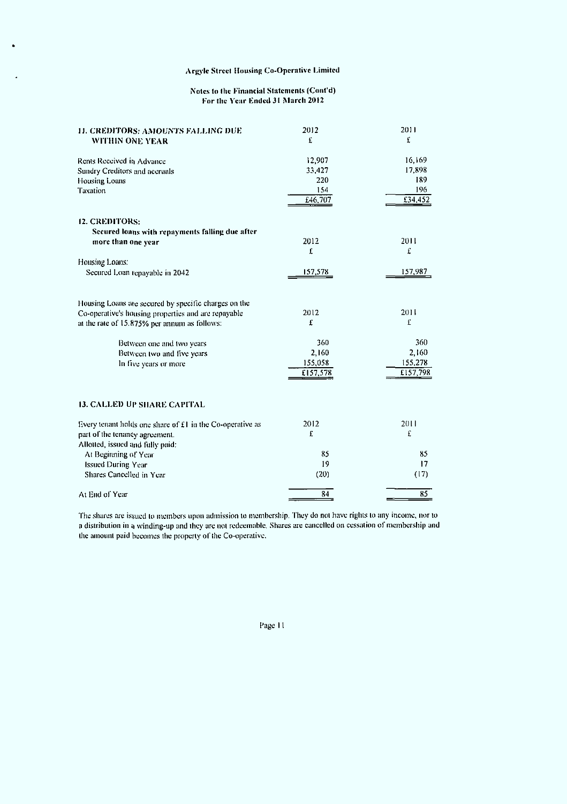## Notes to Ihc Financial Statements (Cont'd) For Ihe Year Ended 31 March 2012

| 11. CREDITORS: AMOUNTS FALLING DUE<br>WITHIN ONE YEAR                                                                                                       | 2012<br>£                           | 2011<br>£                           |
|-------------------------------------------------------------------------------------------------------------------------------------------------------------|-------------------------------------|-------------------------------------|
| Rents Received in Advance<br>Sundry Creditors and accruals                                                                                                  | 12,907<br>33,427                    | 16,169<br>17,898                    |
| Housing Loans<br>Taxation                                                                                                                                   | 220<br>154<br>£46,707               | 189<br>196<br>£34,452               |
| 12. CREDITORS:                                                                                                                                              |                                     |                                     |
| Secured loans with repayments falling due after<br>more than one year                                                                                       | 2012<br>£                           | 2011<br>£                           |
| Housing Loans:                                                                                                                                              |                                     |                                     |
| Secured Loan repayable in 2042                                                                                                                              | 157,578                             | 157,987                             |
| Housing Loans are secured by specific charges on the<br>Co-operative's housing properties and are repayable<br>at the rate of 15.875% per annum as follows: | 2012<br>£                           | 2011<br>£                           |
| Between one and two years<br>Between two and live years<br>In five years or more                                                                            | 360<br>2,160<br>155,058<br>£157,578 | 360<br>2,160<br>155,278<br>£157,798 |
| <b>13. CALLED UP SHARE CAPITAL</b>                                                                                                                          |                                     |                                     |
| Every tenant holds one share of £1 in the Co-operative as<br>part of the tenancy agreement.                                                                 | 2012<br>£                           | 2011<br>£                           |
| Allotted, issued and fully paid:                                                                                                                            |                                     |                                     |
| At Beginning of Year                                                                                                                                        | 85<br>19                            | 85<br>17                            |
| <b>Issued During Year</b><br>Shares Cancelled in Year                                                                                                       | (20)                                | (17)                                |
|                                                                                                                                                             |                                     |                                     |
| At End of Year                                                                                                                                              | 84                                  | 85                                  |

The shares are issued lo members upon admission to membership. They do nol have rights lo any income, nor to a distribution in a winding-up and they are not redeemable. Shares are cancelled on cessation of membership and the amount paid becomes the properly of the Co-operative,

Page 11